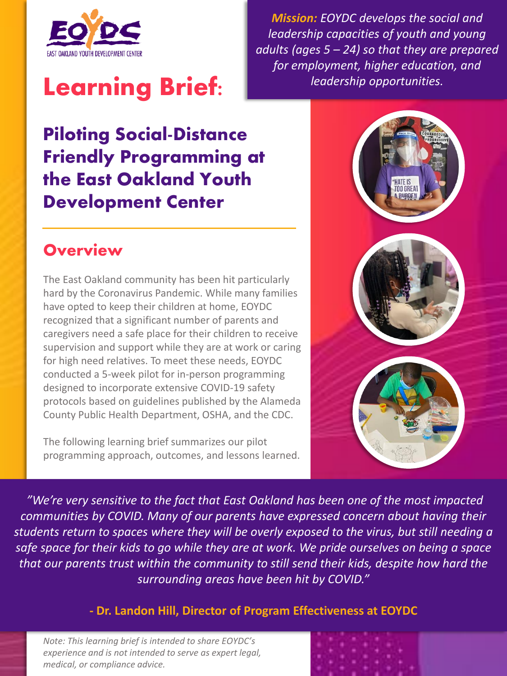

# **Learning Brief:**

*Mission: EOYDC develops the social and leadership capacities of youth and young adults (ages 5 – 24) so that they are prepared for employment, higher education, and leadership opportunities.*

# **Piloting Social-Distance Friendly Programming at the East Oakland Youth Development Center**

### **Overview**

The East Oakland community has been hit particularly hard by the Coronavirus Pandemic. While many families have opted to keep their children at home, EOYDC recognized that a significant number of parents and caregivers need a safe place for their children to receive supervision and support while they are at work or caring for high need relatives. To meet these needs, EOYDC conducted a 5-week pilot for in-person programming designed to incorporate extensive COVID-19 safety protocols based on guidelines published by the Alameda County Public Health Department, OSHA, and the CDC.

The following learning brief summarizes our pilot programming approach, outcomes, and lessons learned.



*"We're very sensitive to the fact that East Oakland has been one of the most impacted communities by COVID. Many of our parents have expressed concern about having their students return to spaces where they will be overly exposed to the virus, but still needing a safe space for their kids to go while they are at work. We pride ourselves on being a space that our parents trust within the community to still send their kids, despite how hard the surrounding areas have been hit by COVID."*

**- Dr. Landon Hill, Director of Program Effectiveness at EOYDC**

*Note: This learning brief is intended to share EOYDC's experience and is not intended to serve as expert legal, medical, or compliance advice.* 

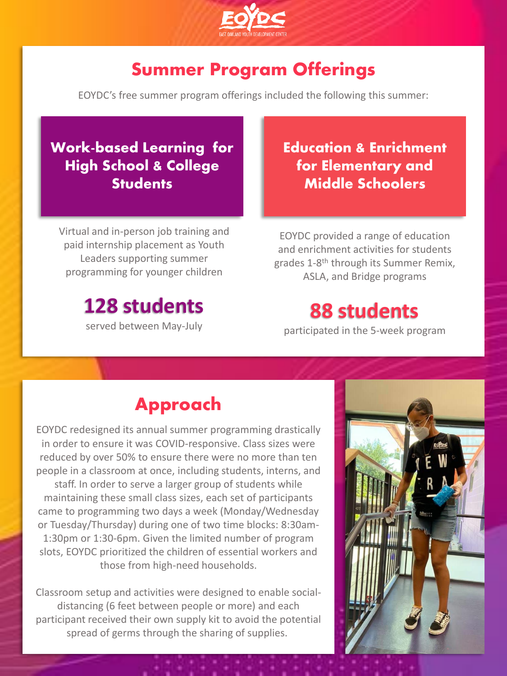

# **Summer Program Offerings**

EOYDC's free summer program offerings included the following this summer:

#### **Work-based Learning for High School & College Students**

Virtual and in-person job training and paid internship placement as Youth Leaders supporting summer programming for younger children

# **128 students**

served between May-July

**Education & Enrichment for Elementary and Middle Schoolers** 

EOYDC provided a range of education and enrichment activities for students grades 1-8<sup>th</sup> through its Summer Remix, ASLA, and Bridge programs

# **88 students**

participated in the 5-week program

### **Approach**

EOYDC redesigned its annual summer programming drastically in order to ensure it was COVID-responsive. Class sizes were reduced by over 50% to ensure there were no more than ten people in a classroom at once, including students, interns, and staff. In order to serve a larger group of students while maintaining these small class sizes, each set of participants came to programming two days a week (Monday/Wednesday or Tuesday/Thursday) during one of two time blocks: 8:30am-1:30pm or 1:30-6pm. Given the limited number of program slots, EOYDC prioritized the children of essential workers and those from high-need households.

Classroom setup and activities were designed to enable socialdistancing (6 feet between people or more) and each participant received their own supply kit to avoid the potential spread of germs through the sharing of supplies.

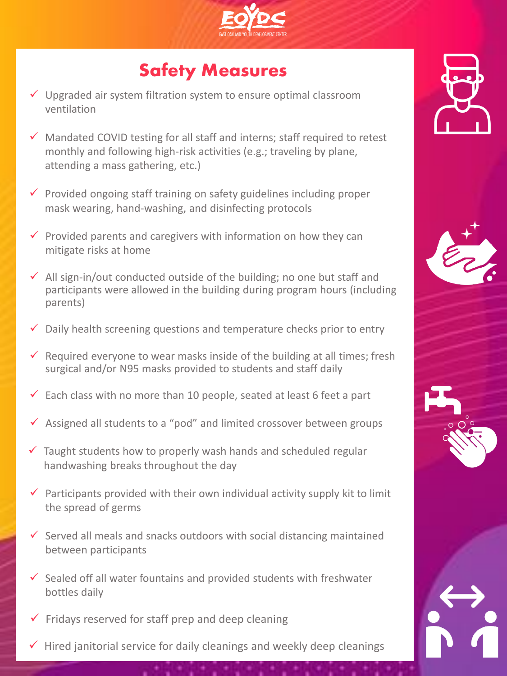

# **Safety Measures**

- $\checkmark$  Upgraded air system filtration system to ensure optimal classroom ventilation
- $\checkmark$  Mandated COVID testing for all staff and interns; staff required to retest monthly and following high-risk activities (e.g.; traveling by plane, attending a mass gathering, etc.)
- $\checkmark$  Provided ongoing staff training on safety guidelines including proper mask wearing, hand-washing, and disinfecting protocols
- $\checkmark$  Provided parents and caregivers with information on how they can mitigate risks at home
- $\checkmark$  All sign-in/out conducted outside of the building; no one but staff and participants were allowed in the building during program hours (including parents)
- $\checkmark$  Daily health screening questions and temperature checks prior to entry
- $\checkmark$  Required everyone to wear masks inside of the building at all times; fresh surgical and/or N95 masks provided to students and staff daily
- $\checkmark$  Each class with no more than 10 people, seated at least 6 feet a part
- ✓ Assigned all students to a "pod" and limited crossover between groups
- $\checkmark$  Taught students how to properly wash hands and scheduled regular handwashing breaks throughout the day
- $\checkmark$  Participants provided with their own individual activity supply kit to limit the spread of germs
- $\checkmark$  Served all meals and snacks outdoors with social distancing maintained between participants
- $\checkmark$  Sealed off all water fountains and provided students with freshwater bottles daily
- $\checkmark$  Fridays reserved for staff prep and deep cleaning
- $\checkmark$  Hired janitorial service for daily cleanings and weekly deep cleanings